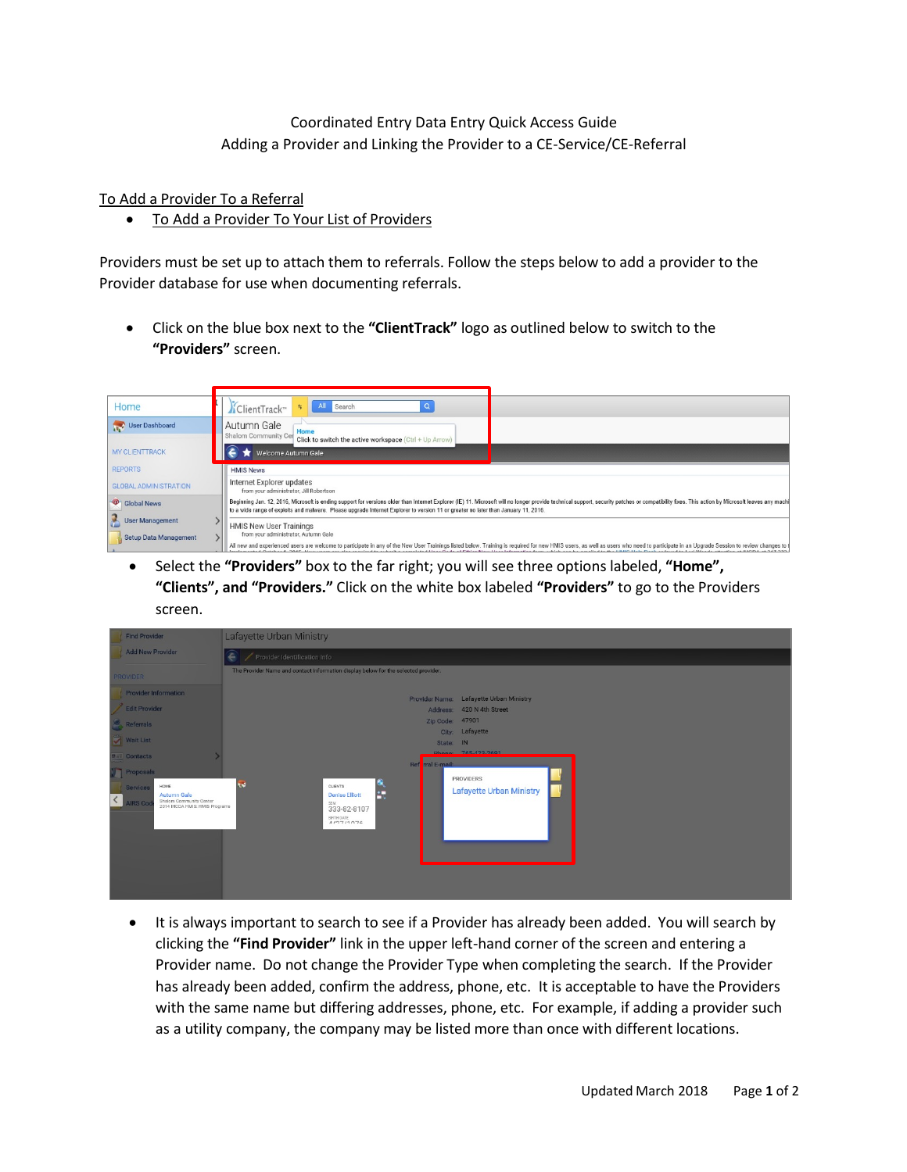## Coordinated Entry Data Entry Quick Access Guide Adding a Provider and Linking the Provider to a CE-Service/CE-Referral

To Add a Provider To a Referral

• To Add a Provider To Your List of Providers

Providers must be set up to attach them to referrals. Follow the steps below to add a provider to the Provider database for use when documenting referrals.

• Click on the blue box next to the **"ClientTrack"** logo as outlined below to switch to the **"Providers"** screen.

| Home                                            | All<br>Search<br>五<br>√ClientTrack™                                                                                                                                                                                                                                                                                                                                 |  |  |  |  |
|-------------------------------------------------|---------------------------------------------------------------------------------------------------------------------------------------------------------------------------------------------------------------------------------------------------------------------------------------------------------------------------------------------------------------------|--|--|--|--|
| User Dashboard                                  | Autumn Gale<br>Home<br>Shalom Community Cer<br>Click to switch the active workspace (Ctrl + Up Arrow)                                                                                                                                                                                                                                                               |  |  |  |  |
| <b>MY CLIENTTRACK</b>                           | Welcome Autumn Gale                                                                                                                                                                                                                                                                                                                                                 |  |  |  |  |
| <b>REPORTS</b>                                  | <b>HMIS News</b>                                                                                                                                                                                                                                                                                                                                                    |  |  |  |  |
| <b>GLOBAL ADMINISTRATION</b>                    | Internet Explorer updates<br>from your administrator, Jill Robertson                                                                                                                                                                                                                                                                                                |  |  |  |  |
| Clobal News                                     | Beginning Jan. 12, 2016, Microsoft is ending support for versions older than Internet Explorer (IE) 11. Microsoft will no longer provide technical support, security patches or compatibility fixes. This action by Microsoft<br>to a wide range of exploits and malware. Please upgrade Internet Explorer to version 11 or greater no later than January 11, 2016. |  |  |  |  |
| <b>User Management</b><br>Setup Data Management | <b>HMIS New User Trainings</b><br>from your administrator. Autumn Gale                                                                                                                                                                                                                                                                                              |  |  |  |  |
|                                                 | All new and experienced users are velocme to participate in any of the New Heer Trainings listed below. Training is required for new HMIS users as well as users who peed to participate in an Ungrade Session to review chang                                                                                                                                      |  |  |  |  |

• Select the **"Providers"** box to the far right; you will see three options labeled, **"Home", "Clients", and "Providers."** Click on the white box labeled **"Providers"** to go to the Providers screen.

| <b>Find Provider</b>                                                                                                                                                                                                                                 | Lafayette Urban Ministry                                                                                                                                                                                                                                                                                                                    |  |  |  |  |  |
|------------------------------------------------------------------------------------------------------------------------------------------------------------------------------------------------------------------------------------------------------|---------------------------------------------------------------------------------------------------------------------------------------------------------------------------------------------------------------------------------------------------------------------------------------------------------------------------------------------|--|--|--|--|--|
| Add New Provider                                                                                                                                                                                                                                     | Provider Identification Info<br>e                                                                                                                                                                                                                                                                                                           |  |  |  |  |  |
| <b>PROVIDER</b>                                                                                                                                                                                                                                      | The Provider Name and contact information display below for the selected provider.                                                                                                                                                                                                                                                          |  |  |  |  |  |
| Provider Information<br>Edit Provider<br>Referrals<br><b>Wait List</b><br>$\blacksquare$ $\blacksquare$ Contacts<br>Proposals<br>HOME<br>Services<br>Autumn Gale<br>⟨<br>Shalom Community Center<br>2014 IHCDA HMIS: HMIS Programs<br><b>IRS Cod</b> | Provider Name: Lafayette Urban Ministry<br>Address: 420 N 4th Street<br>Zip Code: 47901<br>City: Lafayette<br>State: IN<br>Phone 765,422,2601<br>Ref rral E-mail:<br>PROVIDERS<br>$\frac{1}{\cdot}$<br><b>Ind</b><br>CLIENTS<br><b>Lafayette Urban Ministry</b><br><b>Denise Elliott</b><br>SSN<br>333-82-8107<br>BIRTH DATE<br>A I27 I127C |  |  |  |  |  |

• It is always important to search to see if a Provider has already been added. You will search by clicking the **"Find Provider"** link in the upper left-hand corner of the screen and entering a Provider name. Do not change the Provider Type when completing the search. If the Provider has already been added, confirm the address, phone, etc. It is acceptable to have the Providers with the same name but differing addresses, phone, etc. For example, if adding a provider such as a utility company, the company may be listed more than once with different locations.